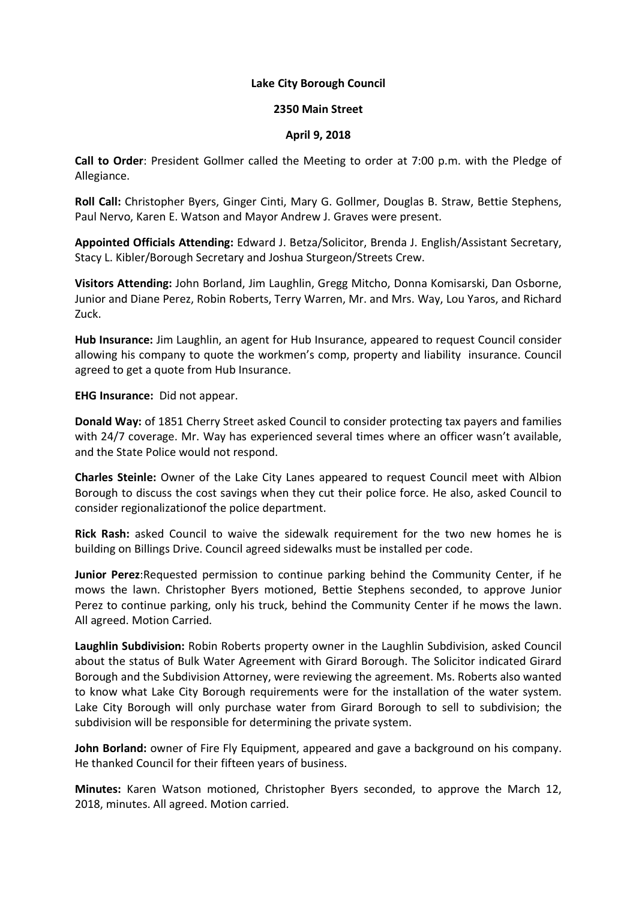## **Lake City Borough Council**

## **2350 Main Street**

## **April 9, 2018**

**Call to Order**: President Gollmer called the Meeting to order at 7:00 p.m. with the Pledge of Allegiance.

**Roll Call:** Christopher Byers, Ginger Cinti, Mary G. Gollmer, Douglas B. Straw, Bettie Stephens, Paul Nervo, Karen E. Watson and Mayor Andrew J. Graves were present.

**Appointed Officials Attending:** Edward J. Betza/Solicitor, Brenda J. English/Assistant Secretary, Stacy L. Kibler/Borough Secretary and Joshua Sturgeon/Streets Crew.

**Visitors Attending:** John Borland, Jim Laughlin, Gregg Mitcho, Donna Komisarski, Dan Osborne, Junior and Diane Perez, Robin Roberts, Terry Warren, Mr. and Mrs. Way, Lou Yaros, and Richard Zuck.

**Hub Insurance:** Jim Laughlin, an agent for Hub Insurance, appeared to request Council consider allowing his company to quote the workmen's comp, property and liability insurance. Council agreed to get a quote from Hub Insurance.

**EHG Insurance:** Did not appear.

**Donald Way:** of 1851 Cherry Street asked Council to consider protecting tax payers and families with 24/7 coverage. Mr. Way has experienced several times where an officer wasn't available, and the State Police would not respond.

**Charles Steinle:** Owner of the Lake City Lanes appeared to request Council meet with Albion Borough to discuss the cost savings when they cut their police force. He also, asked Council to consider regionalizationof the police department.

**Rick Rash:** asked Council to waive the sidewalk requirement for the two new homes he is building on Billings Drive. Council agreed sidewalks must be installed per code.

**Junior Perez**:Requested permission to continue parking behind the Community Center, if he mows the lawn. Christopher Byers motioned, Bettie Stephens seconded, to approve Junior Perez to continue parking, only his truck, behind the Community Center if he mows the lawn. All agreed. Motion Carried.

**Laughlin Subdivision:** Robin Roberts property owner in the Laughlin Subdivision, asked Council about the status of Bulk Water Agreement with Girard Borough. The Solicitor indicated Girard Borough and the Subdivision Attorney, were reviewing the agreement. Ms. Roberts also wanted to know what Lake City Borough requirements were for the installation of the water system. Lake City Borough will only purchase water from Girard Borough to sell to subdivision; the subdivision will be responsible for determining the private system.

**John Borland:** owner of Fire Fly Equipment, appeared and gave a background on his company. He thanked Council for their fifteen years of business.

**Minutes:** Karen Watson motioned, Christopher Byers seconded, to approve the March 12, 2018, minutes. All agreed. Motion carried.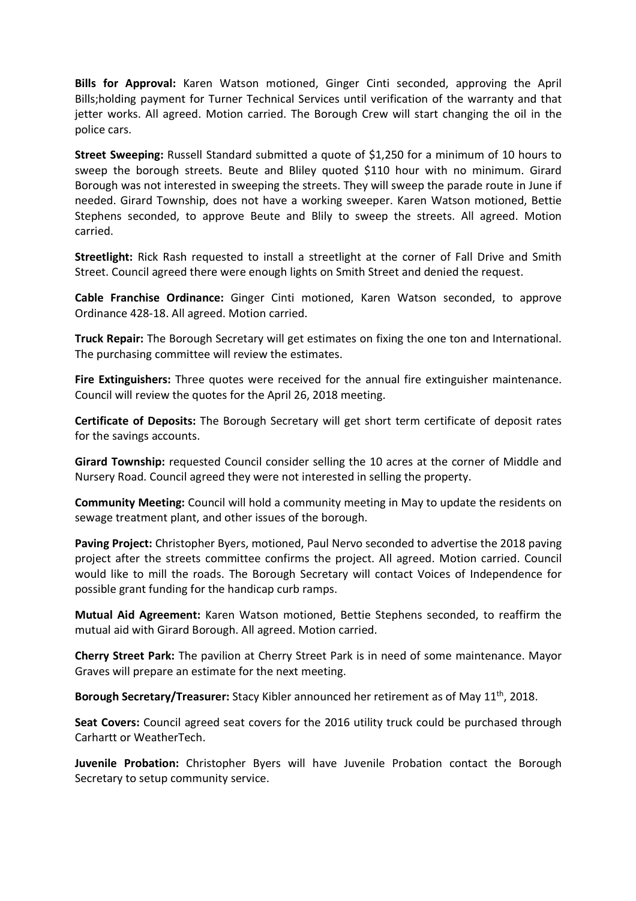**Bills for Approval:** Karen Watson motioned, Ginger Cinti seconded, approving the April Bills;holding payment for Turner Technical Services until verification of the warranty and that jetter works. All agreed. Motion carried. The Borough Crew will start changing the oil in the police cars.

**Street Sweeping:** Russell Standard submitted a quote of \$1,250 for a minimum of 10 hours to sweep the borough streets. Beute and Bliley quoted \$110 hour with no minimum. Girard Borough was not interested in sweeping the streets. They will sweep the parade route in June if needed. Girard Township, does not have a working sweeper. Karen Watson motioned, Bettie Stephens seconded, to approve Beute and Blily to sweep the streets. All agreed. Motion carried.

**Streetlight:** Rick Rash requested to install a streetlight at the corner of Fall Drive and Smith Street. Council agreed there were enough lights on Smith Street and denied the request.

**Cable Franchise Ordinance:** Ginger Cinti motioned, Karen Watson seconded, to approve Ordinance 428-18. All agreed. Motion carried.

**Truck Repair:** The Borough Secretary will get estimates on fixing the one ton and International. The purchasing committee will review the estimates.

**Fire Extinguishers:** Three quotes were received for the annual fire extinguisher maintenance. Council will review the quotes for the April 26, 2018 meeting.

**Certificate of Deposits:** The Borough Secretary will get short term certificate of deposit rates for the savings accounts.

**Girard Township:** requested Council consider selling the 10 acres at the corner of Middle and Nursery Road. Council agreed they were not interested in selling the property.

**Community Meeting:** Council will hold a community meeting in May to update the residents on sewage treatment plant, and other issues of the borough.

**Paving Project:** Christopher Byers, motioned, Paul Nervo seconded to advertise the 2018 paving project after the streets committee confirms the project. All agreed. Motion carried. Council would like to mill the roads. The Borough Secretary will contact Voices of Independence for possible grant funding for the handicap curb ramps.

**Mutual Aid Agreement:** Karen Watson motioned, Bettie Stephens seconded, to reaffirm the mutual aid with Girard Borough. All agreed. Motion carried.

**Cherry Street Park:** The pavilion at Cherry Street Park is in need of some maintenance. Mayor Graves will prepare an estimate for the next meeting.

**Borough Secretary/Treasurer:** Stacy Kibler announced her retirement as of May 11th, 2018.

**Seat Covers:** Council agreed seat covers for the 2016 utility truck could be purchased through Carhartt or WeatherTech.

**Juvenile Probation:** Christopher Byers will have Juvenile Probation contact the Borough Secretary to setup community service.